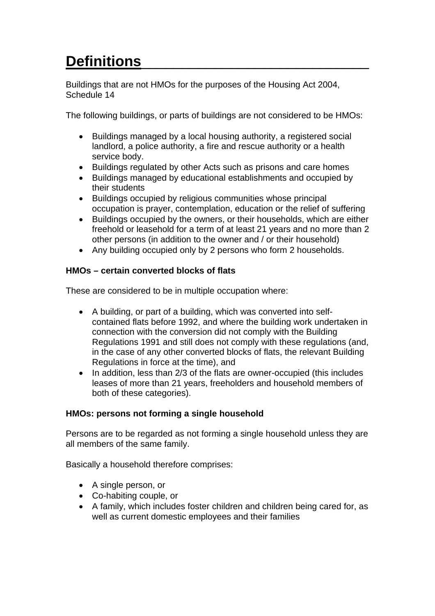# Definitions

Buildings that are not HMOs for the purposes of the Housing Act 2004, Schedule 14

The following buildings, or parts of buildings are not considered to be HMOs:

- Buildings managed by a local housing authority, a registered social landlord, a police authority, a fire and rescue authority or a health service body.
- Buildings regulated by other Acts such as prisons and care homes
- Buildings managed by educational establishments and occupied by their students
- Buildings occupied by religious communities whose principal occupation is prayer, contemplation, education or the relief of suffering
- Buildings occupied by the owners, or their households, which are either freehold or leasehold for a term of at least 21 years and no more than 2 other persons (in addition to the owner and / or their household)
- Any building occupied only by 2 persons who form 2 households.

## **HMOs – certain converted blocks of flats**

These are considered to be in multiple occupation where:

- A building, or part of a building, which was converted into selfcontained flats before 1992, and where the building work undertaken in connection with the conversion did not comply with the Building Regulations 1991 and still does not comply with these regulations (and, in the case of any other converted blocks of flats, the relevant Building Regulations in force at the time), and
- In addition, less than 2/3 of the flats are owner-occupied (this includes leases of more than 21 years, freeholders and household members of both of these categories).

# **HMOs: persons not forming a single household**

Persons are to be regarded as not forming a single household unless they are all members of the same family.

Basically a household therefore comprises:

- A single person, or
- Co-habiting couple, or
- A family, which includes foster children and children being cared for, as well as current domestic employees and their families